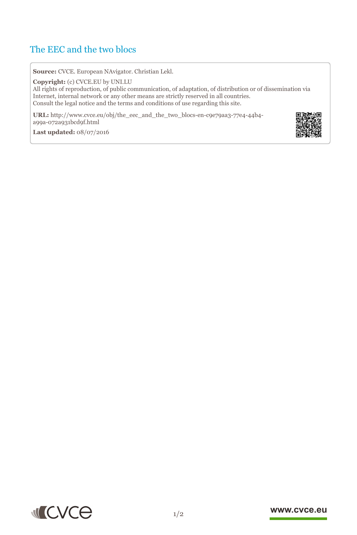## The EEC and the two blocs

**Source:** CVCE. European NAvigator. Christian Lekl.

**Copyright:** (c) CVCE.EU by UNI.LU All rights of reproduction, of public communication, of adaptation, of distribution or of dissemination via Internet, internal network or any other means are strictly reserved in all countries. Consult the legal notice and the terms and conditions of use regarding this site.

**URL:** http://www.cvce.eu/obj/the\_eec\_and\_the\_two\_blocs-en-c9e79aa3-77e4-44b4 a99a-072[a931bcd9f.html](http://www.cvce.eu/obj/the_eec_and_the_two_blocs-en-c9e79aa3-77e4-44b4-a99a-072a931bcd9f.html)

**Las[t updated:](http://www.cvce.eu/obj/the_eec_and_the_two_blocs-en-c9e79aa3-77e4-44b4-a99a-072a931bcd9f.html)** 08/07/2016